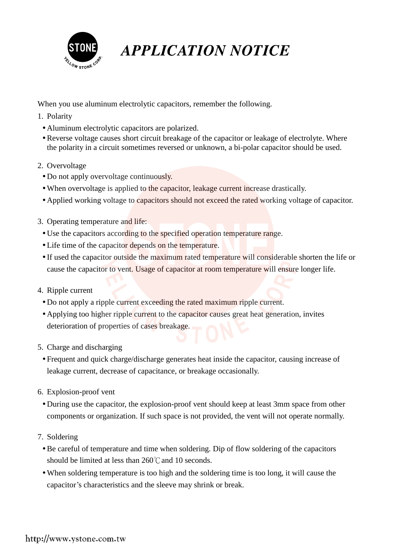

## **APPLICATION NOTICE**

When you use aluminum electrolytic capacitors, remember the following.

- 1. Polarity
	- Aluminum electrolytic capacitors are polarized.
	- Reverse voltage causes short circuit breakage of the capacitor or leakage of electrolyte. Where the polarity in a circuit sometimes reversed or unknown, a bi-polar capacitor should be used.
- 2. Overvoltage
	- Do not apply overvoltage continuously.
	- When overvoltage is applied to the capacitor, leakage current increase drastically.
	- Applied working voltage to capacitors should not exceed the rated working voltage of capacitor.
- 3. Operating temperature and life:
	- Use the capacitors according to the specified operation temperature range.
- Life time of the capacitor depends on the temperature.
	- If used the capacitor outside the maximum rated temperature will considerable shorten the life or cause the capacitor to vent. Usage of capacitor at room temperature will ensure longer life.
	- 4. Ripple current
		- Do not apply a ripple current exceeding the rated maximum ripple current.
		- Applying too higher ripple current to the capacitor causes great heat generation, invites deterioration of properties of cases breakage.
	- 5. Charge and discharging
- Frequent and quick charge/discharge generates heat inside the capacitor, causing increase of leakage current, decrease of capacitance, or breakage occasionally.
	- 6. Explosion-proof vent
		- During use the capacitor, the explosion-proof vent should keep at least 3mm space from other components or organization. If such space is not provided, the vent will not operate normally.
	- 7. Soldering
		- Be careful of temperature and time when soldering. Dip of flow soldering of the capacitors should be limited at less than 260°C and 10 seconds.
		- When soldering temperature is too high and the soldering time is too long, it will cause the capacitor's characteristics and the sleeve may shrink or break.